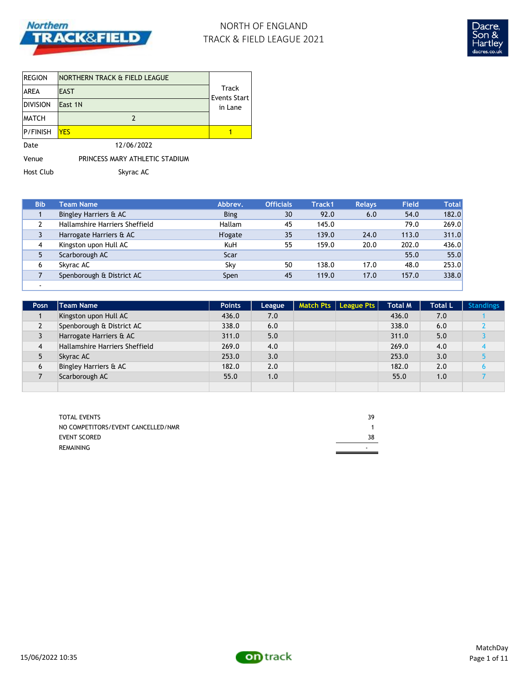

# NORTH OF ENGLAND TRACK & FIELD LEAGUE 2021



| <b>REGION</b>   | NORTHERN TRACK & FIELD LEAGUE  |                              |
|-----------------|--------------------------------|------------------------------|
| <b>AREA</b>     | <b>EAST</b>                    | Track<br><b>Events Start</b> |
| <b>DIVISION</b> | East 1N                        | in Lane                      |
| <b>MATCH</b>    |                                |                              |
| P/FINISH        | <b>YFS</b>                     |                              |
| Date            | 12/06/2022                     |                              |
| Venue           | PRINCESS MARY ATHLETIC STADIUM |                              |

Host Club Skyrac AC

| <b>Bib</b> | <b>Team Name</b>               | Abbrev.         | <b>Officials</b> | Track1 | <b>Relays</b> | <b>Field</b> | <b>Total</b> |
|------------|--------------------------------|-----------------|------------------|--------|---------------|--------------|--------------|
|            | Bingley Harriers & AC          | <b>Bing</b>     | 30               | 92.0   | 6.0           | 54.0         | 182.0        |
|            | Hallamshire Harriers Sheffield | <b>Hallam</b>   | 45               | 145.0  |               | 79.0         | 269.0        |
|            | Harrogate Harriers & AC        | <b>H</b> 'ogate | 35               | 139.0  | 24.0          | 113.0        | 311.0        |
| 4          | Kingston upon Hull AC          | KuH             | 55               | 159.0  | 20.0          | 202.0        | 436.0        |
| 5          | Scarborough AC                 | Scar            |                  |        |               | 55.0         | 55.0         |
| 6          | Skyrac AC                      | Sky             | 50               | 138.0  | 17.0          | 48.0         | 253.0        |
|            | Spenborough & District AC      | Spen            | 45               | 119.0  | 17.0          | 157.0        | 338.0        |
|            |                                |                 |                  |        |               |              |              |

| Posn           | <b>Team Name</b>                 | <b>Points</b> | League | Match Pts   League Pts | <b>Total M</b> | <b>Total L</b> | <b>Standings</b> |
|----------------|----------------------------------|---------------|--------|------------------------|----------------|----------------|------------------|
|                | Kingston upon Hull AC            | 436.0         | 7.0    |                        | 436.0          | 7.0            |                  |
| $\overline{2}$ | Spenborough & District AC        | 338.0         | 6.0    |                        | 338.0          | 6.0            |                  |
| 3              | Harrogate Harriers & AC          | 311.0         | 5.0    |                        | 311.0          | 5.0            |                  |
| 4              | Hallamshire Harriers Sheffield   | 269.0         | 4.0    |                        | 269.0          | 4.0            |                  |
| 5              | Skyrac AC                        | 253.0         | 3.0    |                        | 253.0          | 3.0            |                  |
| 6              | <b>Bingley Harriers &amp; AC</b> | 182.0         | 2.0    |                        | 182.0          | 2.0            |                  |
|                | Scarborough AC                   | 55.0          | 1.0    |                        | 55.0           | 1.0            |                  |
|                |                                  |               |        |                        |                |                |                  |

| <b>TOTAL EVENTS</b>                | 39 |
|------------------------------------|----|
| NO COMPETITORS/EVENT CANCELLED/NMR |    |
| <b>EVENT SCORED</b>                | 38 |
| REMAINING                          |    |

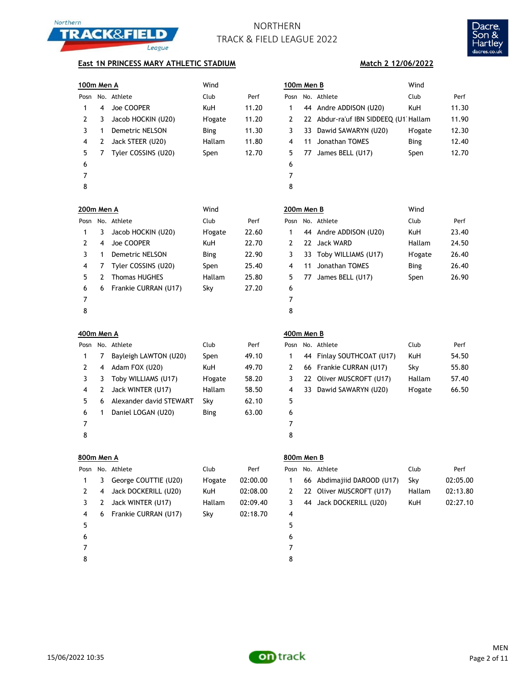



### **East 1N PRINCESS MARY ATHLETIC STADIUM**

| 100m Men A     |   |                         | Wind            |          | 100m Men B |    |                                       | Wind           |          |
|----------------|---|-------------------------|-----------------|----------|------------|----|---------------------------------------|----------------|----------|
| Posn           |   | No. Athlete             | Club            | Perf     | Posn       |    | No. Athlete                           | Club           | Perf     |
| 1              | 4 | Joe COOPER              | KuH             | 11.20    | 1          | 44 | Andre ADDISON (U20)                   | KuH            | 11.30    |
| 2              | 3 | Jacob HOCKIN (U20)      | H'ogate         | 11.20    | 2          |    | 22 Abdur-ra'uf IBN SIDDEEQ (U1 Hallam |                | 11.90    |
| 3              | 1 | Demetric NELSON         | <b>Bing</b>     | 11.30    | 3          | 33 | Dawid SAWARYN (U20)                   | <b>H'ogate</b> | 12.30    |
| 4              | 2 | Jack STEER (U20)        | Hallam          | 11.80    | 4          | 11 | Jonathan TOMES                        | <b>Bing</b>    | 12.40    |
| 5              | 7 | Tyler COSSINS (U20)     | Spen            | 12.70    | 5          | 77 | James BELL (U17)                      | Spen           | 12.70    |
| 6              |   |                         |                 |          | 6          |    |                                       |                |          |
| 7              |   |                         |                 |          | 7          |    |                                       |                |          |
| 8              |   |                         |                 |          | 8          |    |                                       |                |          |
| 200m Men A     |   |                         | Wind            |          | 200m Men B |    |                                       | Wind           |          |
| Posn           |   | No. Athlete             | Club            | Perf     | Posn       |    | No. Athlete                           | Club           | Perf     |
| 1              | 3 | Jacob HOCKIN (U20)      | <b>H</b> 'ogate | 22.60    | 1          | 44 | Andre ADDISON (U20)                   | <b>KuH</b>     | 23.40    |
| 2              | 4 | Joe COOPER              | KuH             | 22.70    | 2          | 22 | <b>Jack WARD</b>                      | Hallam         | 24.50    |
| 3              | 1 | Demetric NELSON         | Bing            | 22.90    | 3          | 33 | Toby WILLIAMS (U17)                   | <b>H'ogate</b> | 26.40    |
| 4              | 7 | Tyler COSSINS (U20)     | Spen            | 25.40    | 4          | 11 | Jonathan TOMES                        | <b>Bing</b>    | 26.40    |
| 5              | 2 | <b>Thomas HUGHES</b>    | Hallam          | 25.80    | 5          | 77 | James BELL (U17)                      | Spen           | 26.90    |
| 6              | 6 | Frankie CURRAN (U17)    | Sky             | 27.20    | 6          |    |                                       |                |          |
| 7              |   |                         |                 |          | 7          |    |                                       |                |          |
| 8              |   |                         |                 |          | 8          |    |                                       |                |          |
| 400m Men A     |   |                         |                 |          | 400m Men B |    |                                       |                |          |
| Posn           |   | No. Athlete             | Club            | Perf     | Posn       |    | No. Athlete                           | Club           | Perf     |
| 1              | 7 | Bayleigh LAWTON (U20)   | Spen            | 49.10    | 1          | 44 | Finlay SOUTHCOAT (U17)                | <b>KuH</b>     | 54.50    |
| 2              | 4 | Adam FOX (U20)          | KuH             | 49.70    | 2          | 66 | Frankie CURRAN (U17)                  | Sky            | 55.80    |
| 3              | 3 | Toby WILLIAMS (U17)     | H'ogate         | 58.20    | 3          | 22 | Oliver MUSCROFT (U17)                 | Hallam         | 57.40    |
| 4              | 2 | Jack WINTER (U17)       | Hallam          | 58.50    | 4          |    | 33 Dawid SAWARYN (U20)                | <b>H'ogate</b> | 66.50    |
| 5              | 6 | Alexander david STEWART | Sky             | 62.10    | 5          |    |                                       |                |          |
| 6              | 1 | Daniel LOGAN (U20)      | Bing            | 63.00    | 6          |    |                                       |                |          |
| 7              |   |                         |                 |          | 7          |    |                                       |                |          |
| 8              |   |                         |                 |          | 8          |    |                                       |                |          |
| 800m Men A     |   |                         |                 |          | 800m Men B |    |                                       |                |          |
| Posn           |   | No. Athlete             | Club            | Perf     | Posn       |    | No. Athlete                           | Club           | Perf     |
| 1              | 3 | George COUTTIE (U20)    | <b>H</b> 'ogate | 02:00.00 | 1          | 66 | Abdimajiid DAROOD (U17)               | Sky            | 02:05.00 |
| 2              | 4 | Jack DOCKERILL (U20)    | KuH             | 02:08.00 | 2          |    | 22 Oliver MUSCROFT (U17)              | Hallam         | 02:13.80 |
| 3              | 2 | Jack WINTER (U17)       | Hallam          | 02:09.40 | 3          |    | 44 Jack DOCKERILL (U20)               | KuH            | 02:27.10 |
| 4              | 6 | Frankie CURRAN (U17)    | Sky             | 02:18.70 | 4          |    |                                       |                |          |
| 5              |   |                         |                 |          | 5          |    |                                       |                |          |
| 6              |   |                         |                 |          | 6          |    |                                       |                |          |
| $\overline{7}$ |   |                         |                 |          | 7          |    |                                       |                |          |

**Match 2 12/06/2022**

|                          | บบm men <b>B</b> |                        | wind           |       |
|--------------------------|------------------|------------------------|----------------|-------|
|                          |                  | osn No. Athlete        | Club           | Perf  |
| $\mathbf{1}$             |                  | 44 Andre ADDISON (U20) | <b>KuH</b>     | 23.40 |
| 2                        |                  | 22 Jack WARD           | Hallam         | 24.50 |
| 3                        |                  | 33 Toby WILLIAMS (U17) | <b>H'ogate</b> | 26.40 |
| 4                        |                  | 11 Jonathan TOMES      | <b>Bing</b>    | 26.40 |
| 5                        |                  | 77 James BELL (U17)    | Spen           | 26.90 |
| 6                        |                  |                        |                |       |
| $\overline{\phantom{a}}$ |                  |                        |                |       |

| Posn |      | No. Athlete               | Club           | Perf  |
|------|------|---------------------------|----------------|-------|
| 1    |      | 44 Finlay SOUTHCOAT (U17) | <b>KuH</b>     | 54.50 |
| 2    |      | 66 Frankie CURRAN (U17)   | Sky            | 55.80 |
| 3    |      | 22 Oliver MUSCROFT (U17)  | Hallam         | 57.40 |
| 4    | 33 L | Dawid SAWARYN (U20)       | <b>H'ogate</b> | 66.50 |
| 5    |      |                           |                |       |
| 6    |      |                           |                |       |
|      |      |                           |                |       |

|   | Posn No. Athlete           | Club   | Perf     |
|---|----------------------------|--------|----------|
|   | 66 Abdimajiid DAROOD (U17) | Skv    | 02:05.00 |
| 2 | 22 Oliver MUSCROFT (U17)   | Hallam | 02:13.80 |
| 3 | 44 Jack DOCKERILL (U20)    | KuH.   | 02:27.10 |
|   |                            |        |          |

8

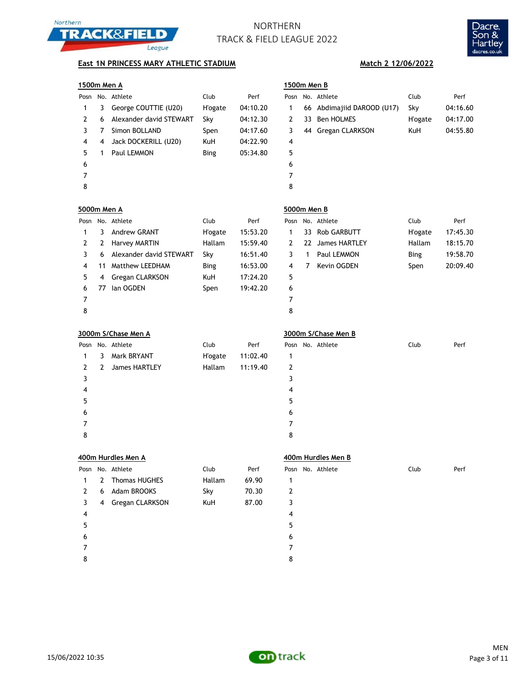



### **East 1N PRINCESS MARY ATHLETIC STADIUM Match 2 12/06/2022**

|  |  | 1500m Men A |  |  |
|--|--|-------------|--|--|
|  |  |             |  |  |

**5000m Men A 5000m Men B**

**3000m S/Chase Men A 3000m S/Chase Men B**

| 1500m Men A |   |                         |             |          | 1500m Men B |    |                            |            |          |
|-------------|---|-------------------------|-------------|----------|-------------|----|----------------------------|------------|----------|
|             |   | Posn No. Athlete        | Club        | Perf     |             |    | Posn No. Athlete           | Club       | Perf     |
|             | 3 | George COUTTIE (U20)    | H'ogate     | 04:10.20 |             |    | 66 Abdimajiid DAROOD (U17) | Sky        | 04:16.60 |
|             | 6 | Alexander david STEWART | Sky         | 04:12.30 | 2           | 33 | Ben HOLMES                 | H'ogate    | 04:17.00 |
| 3.          |   | Simon BOLLAND           | Spen        | 04:17.60 | 3           |    | 44 Gregan CLARKSON         | <b>KuH</b> | 04:55.80 |
| 4           | 4 | Jack DOCKERILL (U20)    | KuH         | 04:22.90 | 4           |    |                            |            |          |
| 5.          |   | Paul LEMMON             | <b>Bing</b> | 05:34.80 | 5           |    |                            |            |          |
| 6           |   |                         |             |          | 6           |    |                            |            |          |
|             |   |                         |             |          | 7           |    |                            |            |          |
| 8           |   |                         |             |          | 8           |    |                            |            |          |
|             |   |                         |             |          |             |    |                            |            |          |

|             |    | <u>500m Men A</u>       |                 |          | 1500m Men B    |    |                         |                |          |
|-------------|----|-------------------------|-----------------|----------|----------------|----|-------------------------|----------------|----------|
| osn         |    | No. Athlete             | Club            | Perf     | Posn           |    | No. Athlete             | Club           | Perf     |
| 1           | 3  | George COUTTIE (U20)    | <b>H</b> 'ogate | 04:10.20 | 1              | 66 | Abdimajiid DAROOD (U17) | Sky            | 04:16.60 |
| 2           | 6  | Alexander david STEWART | Sky             | 04:12.30 | 2              | 33 | <b>Ben HOLMES</b>       | H'ogate        | 04:17.00 |
| 3           | 7  | Simon BOLLAND           | Spen            | 04:17.60 | 3              | 44 | Gregan CLARKSON         | <b>KuH</b>     | 04:55.80 |
| 4           | 4  | Jack DOCKERILL (U20)    | <b>KuH</b>      | 04:22.90 | 4              |    |                         |                |          |
| 5           | 1  | Paul LEMMON             | <b>Bing</b>     | 05:34.80 | 5              |    |                         |                |          |
| 6           |    |                         |                 |          | 6              |    |                         |                |          |
| 7           |    |                         |                 |          | 7              |    |                         |                |          |
| 8           |    |                         |                 |          | 8              |    |                         |                |          |
|             |    |                         |                 |          |                |    |                         |                |          |
|             |    | 000m Men A              |                 |          | 5000m Men B    |    |                         |                |          |
| osn         |    | No. Athlete             | Club            | Perf     | Posn           |    | No. Athlete             | Club           | Perf     |
| 1           | 3  | <b>Andrew GRANT</b>     | <b>H</b> 'ogate | 15:53.20 | $\mathbf{1}$   | 33 | <b>Rob GARBUTT</b>      | <b>H'ogate</b> | 17:45.30 |
| 2           | 2  | <b>Harvey MARTIN</b>    | Hallam          | 15:59.40 | 2              | 22 | <b>James HARTLEY</b>    | Hallam         | 18:15.70 |
| 3           | 6  | Alexander david STEWART | Sky             | 16:51.40 | 3              | 1  | Paul LEMMON             | <b>Bing</b>    | 19:58.70 |
| 4           | 11 | <b>Matthew LEEDHAM</b>  | <b>Bing</b>     | 16:53.00 | $\overline{4}$ | 7  | Kevin OGDEN             | Spen           | 20:09.40 |
| 5           | 4  | Gregan CLARKSON         | <b>KuH</b>      | 17:24.20 | 5              |    |                         |                |          |
| 6           | 77 | lan OGDEN               | Spen            | 19:42.20 | 6              |    |                         |                |          |
| 7           |    |                         |                 |          | 7              |    |                         |                |          |
| 8           |    |                         |                 |          | 8              |    |                         |                |          |
|             |    |                         |                 |          |                |    |                         |                |          |
|             |    | 000m S/Chase Men A      |                 |          |                |    | 3000m S/Chase Men B     |                |          |
|             |    | osn No. Athlete         | Club            | Perf     |                |    | Posn No. Athlete        | Club           | Perf     |
| $\mathbf 1$ |    | 2 Mork RDVANT           | $H'$ ogato      | 11.02 A0 | -1             |    |                         |                |          |

|   |    | Posn No. Athlete | Club           | Perf     |   | Posn No. Athlete | Club | Perf |
|---|----|------------------|----------------|----------|---|------------------|------|------|
| 1 | 3  | Mark BRYANT      | <b>H'ogate</b> | 11:02.40 | 1 |                  |      |      |
| 2 | -2 | James HARTLEY    | Hallam         | 11:19.40 | 2 |                  |      |      |
| 3 |    |                  |                |          |   |                  |      |      |
| 4 |    |                  |                |          | 4 |                  |      |      |
| 5 |    |                  |                |          | 5 |                  |      |      |
| 6 |    |                  |                |          | 6 |                  |      |      |
| 7 |    |                  |                |          |   |                  |      |      |
| 8 |    |                  |                |          | 8 |                  |      |      |
|   |    |                  |                |          |   |                  |      |      |

|                | Posn No. Athlete | Club | Perf |
|----------------|------------------|------|------|
| 1              |                  |      |      |
| $\overline{2}$ |                  |      |      |
| 3              |                  |      |      |
| 4              |                  |      |      |
| 5              |                  |      |      |
| 6              |                  |      |      |
| 7              |                  |      |      |
| 8              |                  |      |      |

|               |   | 400m Hurdles Men A   |        | 400m Hurdles Men B |                  |      |      |  |  |  |
|---------------|---|----------------------|--------|--------------------|------------------|------|------|--|--|--|
|               |   | Posn No. Athlete     | Club   | Perf               | Posn No. Athlete | Club | Perf |  |  |  |
|               | 2 | <b>Thomas HUGHES</b> | Hallam | 69.90              | 1                |      |      |  |  |  |
| $\mathcal{L}$ | 6 | Adam BROOKS          | Sky    | 70.30              | 2                |      |      |  |  |  |
| 3             | 4 | Gregan CLARKSON      | KuH    | 87.00              | 3                |      |      |  |  |  |
| 4             |   |                      |        |                    | 4                |      |      |  |  |  |
| 5             |   |                      |        |                    | 5                |      |      |  |  |  |
| 6             |   |                      |        |                    | 6                |      |      |  |  |  |
|               |   |                      |        |                    |                  |      |      |  |  |  |
| 8             |   |                      |        |                    | 8                |      |      |  |  |  |

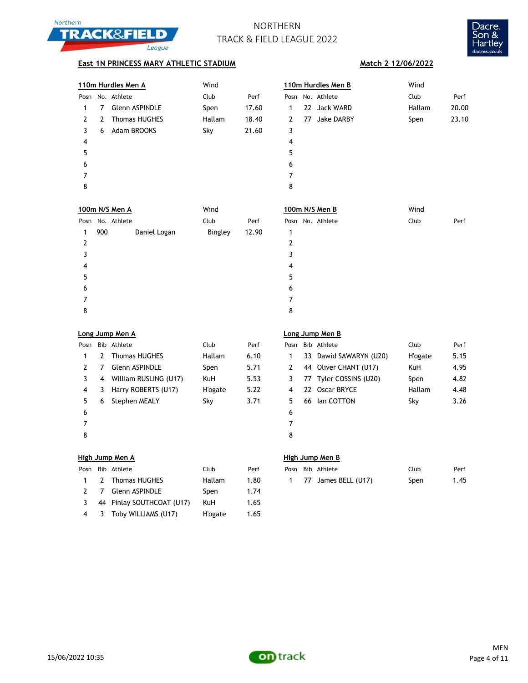



## **East 1N PRINCESS MARY ATHLETIC STADIUM Match 2 12/06/2022**

|      | 110m Hurdles Men A |                       | Wind   |       |      | 110m Hurdles Men B |              | Wind   |       |
|------|--------------------|-----------------------|--------|-------|------|--------------------|--------------|--------|-------|
| Posn |                    | No. Athlete           | Club   | Perf  | Posn |                    | No. Athlete  | Club   | Perf  |
| 1    | 7                  | <b>Glenn ASPINDLE</b> | Spen   | 17.60 | 1    |                    | 22 Jack WARD | Hallam | 20.00 |
| 2    | 2                  | <b>Thomas HUGHES</b>  | Hallam | 18.40 | 2    | 77                 | Jake DARBY   | Spen   | 23.10 |
| 3    | 6                  | Adam BROOKS           | Sky    | 21.60 | 3    |                    |              |        |       |
| 4    |                    |                       |        |       | 4    |                    |              |        |       |
| 5    |                    |                       |        |       | 5    |                    |              |        |       |
| 6    |                    |                       |        |       | 6    |                    |              |        |       |
| 7    |                    |                       |        |       | 7    |                    |              |        |       |
| 8    |                    |                       |        |       | 8    |                    |              |        |       |
|      |                    |                       |        |       |      |                    |              |        |       |
|      |                    |                       |        |       |      |                    |              |        |       |

|   |     | 100m N/S Men A   | Wind    |       | 100m N/S Men B   | Wind         |
|---|-----|------------------|---------|-------|------------------|--------------|
|   |     | Posn No. Athlete | Club    | Perf  | Posn No. Athlete | Club<br>Perf |
| 1 | 900 | Daniel Logan     | Bingley | 12.90 |                  |              |
| 2 |     |                  |         |       | 2                |              |
| 3 |     |                  |         |       | 3                |              |
| 4 |     |                  |         |       | 4                |              |
| 5 |     |                  |         |       | 5                |              |
| 6 |     |                  |         |       | 6                |              |
|   |     |                  |         |       | ┑                |              |
| 8 |     |                  |         |       | 8                |              |
|   |     |                  |         |       |                  |              |

| Long Jump Men A<br>Loı |               |                       |                |      |     |  |  |  |  |
|------------------------|---------------|-----------------------|----------------|------|-----|--|--|--|--|
| Posn                   |               | Bib Athlete           | Club           | Perf | Pos |  |  |  |  |
| 1                      | $\mathcal{P}$ | <b>Thomas HUGHES</b>  | Hallam         | 6.10 | 1   |  |  |  |  |
| 2                      | 7             | <b>Glenn ASPINDLE</b> | Spen           | 5.71 | 2   |  |  |  |  |
| 3                      | 4             | William RUSLING (U17) | <b>KuH</b>     | 5.53 | 3   |  |  |  |  |
| 4                      | 3             | Harry ROBERTS (U17)   | <b>H'ogate</b> | 5.22 | 4   |  |  |  |  |
| 5                      | 6             | Stephen MEALY         | Sky            | 3.71 | 5   |  |  |  |  |
| 6                      |               |                       |                |      | 6   |  |  |  |  |
| 7                      |               |                       |                |      | 7   |  |  |  |  |
| 8                      |               |                       |                |      | 8   |  |  |  |  |

### **Long Jump Men A Long Jump Men B**

| Posn |   | Bib Athlete           | Club    | Perf | Posn |    | Bib Athlete            | Club    | Perf |
|------|---|-----------------------|---------|------|------|----|------------------------|---------|------|
|      | 2 | <b>Thomas HUGHES</b>  | Hallam  | 6.10 |      |    | 33 Dawid SAWARYN (U20) | H'ogate | 5.15 |
|      |   | <b>Glenn ASPINDLE</b> | Spen    | 5.71 |      |    | 44 Oliver CHANT (U17)  | KuH     | 4.95 |
|      | 4 | William RUSLING (U17) | KuH     | 5.53 | 3    |    | 77 Tyler COSSINS (U20) | Spen    | 4.82 |
| 4    | 3 | Harry ROBERTS (U17)   | H'ogate | 5.22 | 4    |    | 22 Oscar BRYCE         | Hallam  | 4.48 |
| 5.   | 6 | Stephen MEALY         | Sky     | 3.71 | 5    | 66 | lan COTTON             | Sky     | 3.26 |
| 6    |   |                       |         |      | 6    |    |                        |         |      |
|      |   |                       |         |      |      |    |                        |         |      |
| 8    |   |                       |         |      | 8    |    |                        |         |      |

### **High Jump Men A High Jump Men B**

| Posn          | Bib Athlete               | Club           | Perf |
|---------------|---------------------------|----------------|------|
|               | 2 Thomas HUGHES           | Hallam         | 1.80 |
| $\mathcal{L}$ | 7 Glenn ASPINDLE          | Spen           | 1.74 |
| 3             | 44 Finlay SOUTHCOAT (U17) | <b>KuH</b>     | 1.65 |
| 4             | 3 Toby WILLIAMS (U17)     | <b>H'ogate</b> | 1.65 |

|  | Posn Bib Athlete  | Club   | Perf |  | Posn Bib Athlete      | Club | Perf |
|--|-------------------|--------|------|--|-----------------------|------|------|
|  | 1 2 Thomas HUGHES | Hallam | 1.80 |  | 1 77 James BELL (U17) | Spen | 1.45 |

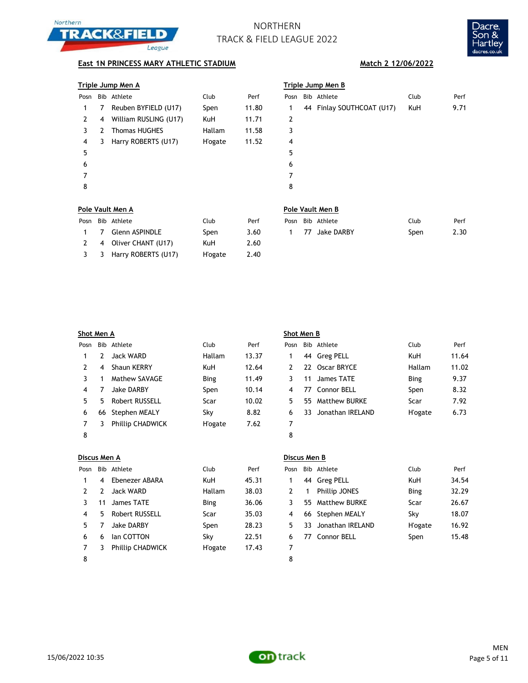



## **East 1N PRINCESS MARY ATHLETIC STADIUM Match 2 12/06/2022**

### **Triple Jump Men A Triple Jump Men B**

| Posn |   | Bib Athlete           | Club            | Perf  | Posn           | Bib Athlete               | Club | Perf |
|------|---|-----------------------|-----------------|-------|----------------|---------------------------|------|------|
|      | 7 | Reuben BYFIELD (U17)  | Spen            | 11.80 |                | 44 Finlay SOUTHCOAT (U17) | KuH  | 9.71 |
| 2    | 4 | William RUSLING (U17) | KuH             | 11.71 | 2              |                           |      |      |
|      | 7 | <b>Thomas HUGHES</b>  | Hallam          | 11.58 | 3              |                           |      |      |
| 4    | 3 | Harry ROBERTS (U17)   | <b>H</b> 'ogate | 11.52 | $\overline{4}$ |                           |      |      |
| 5    |   |                       |                 |       | 5              |                           |      |      |
| 6    |   |                       |                 |       | 6              |                           |      |      |
|      |   |                       |                 |       |                |                           |      |      |
| 8    |   |                       |                 |       | 8              |                           |      |      |
|      |   |                       |                 |       |                |                           |      |      |

Posn Bib Athlete Club Perf Posn Bib Athlete Club Perf 1 7 Glenn ASPINDLE Spen 3.60 2 4 Oliver CHANT (U17) KuH 2.60 3 3 Harry ROBERTS (U17) H'ogate 2.40

| osn       |   | Bib Athlete             | Club           | Perf  | Posn | Bib Athlete               | Club | Perf |
|-----------|---|-------------------------|----------------|-------|------|---------------------------|------|------|
| $1 \quad$ | 7 | Reuben BYFIELD (U17)    | Spen           | 11.80 | 1    | 44 Finlay SOUTHCOAT (U17) | KuH  | 9.71 |
| 2         |   | 4 William RUSLING (U17) | <b>KuH</b>     | 11.71 | 2    |                           |      |      |
| 3         | 2 | <b>Thomas HUGHES</b>    | Hallam         | 11.58 | 3    |                           |      |      |
| 4         | 3 | Harry ROBERTS (U17)     | <b>H'ogate</b> | 11.52 | 4    |                           |      |      |
| 5         |   |                         |                |       | 5    |                           |      |      |
| 6         |   |                         |                |       | 6    |                           |      |      |
| 7         |   |                         |                |       | 7    |                           |      |      |
| 8         |   |                         |                |       | 8    |                           |      |      |
|           |   |                         |                |       |      |                           |      |      |

### **Pole Vault Men A Pole Vault Men B**

|  | Posn Bib Athlete | Club | Perf |
|--|------------------|------|------|
|  | 1 77 Jake DARBY  | Spen | 2.30 |

|      | Shot Men A |                       |                 |       |      | Shot Men B |                      |             |      |  |  |
|------|------------|-----------------------|-----------------|-------|------|------------|----------------------|-------------|------|--|--|
| Posn |            | Bib Athlete           | Club            | Perf  | Posn |            | Bib Athlete          | Club        | Perf |  |  |
|      | 2          | Jack WARD             | Hallam          | 13.37 |      |            | 44 Greg PELL         | KuH         | 11.6 |  |  |
| 2    | 4          | Shaun KERRY           | KuH             | 12.64 |      |            | 22 Oscar BRYCE       | Hallam      | 11.0 |  |  |
| 3    |            | Mathew SAVAGE         | <b>Bing</b>     | 11.49 |      | 11         | James TATE           | <b>Bing</b> | 9.37 |  |  |
| 4    |            | <b>Jake DARBY</b>     | Spen            | 10.14 | 4    |            | 77 Connor BELL       | Spen        | 8.32 |  |  |
| 5.   | 5.         | <b>Robert RUSSELL</b> | Scar            | 10.02 | 5.   | 55.        | <b>Matthew BURKE</b> | Scar        | 7.92 |  |  |
| 6    | 66         | Stephen MEALY         | Sky             | 8.82  | 6    | 33         | Jonathan IRELAND     | H'ogate     | 6.73 |  |  |
|      |            | Phillip CHADWICK      | <b>H</b> 'ogate | 7.62  |      |            |                      |             |      |  |  |
| 8    |            |                       |                 |       | 8    |            |                      |             |      |  |  |

| Discus Men A |  |
|--------------|--|

|      | Discus Men A |                         |             |       |      | Discus Men B |                      |         |       |  |  |
|------|--------------|-------------------------|-------------|-------|------|--------------|----------------------|---------|-------|--|--|
| Posn |              | Bib Athlete             | Club        | Perf  | Posn |              | Bib Athlete          | Club    | Perf  |  |  |
|      | 4            | Ebenezer ABARA          | KuH         | 45.31 |      |              | 44 Greg PELL         | KuH     | 34.54 |  |  |
| 2    |              | Jack WARD               | Hallam      | 38.03 |      |              | <b>Phillip JONES</b> | Bing    | 32.29 |  |  |
| 3    | 11           | James TATE              | <b>Bing</b> | 36.06 | 3.   |              | 55 Matthew BURKE     | Scar    | 26.67 |  |  |
| 4    | 5.           | Robert RUSSELL          | Scar        | 35.03 | 4    |              | 66 Stephen MEALY     | Sky     | 18.07 |  |  |
| 5.   |              | <b>Jake DARBY</b>       | Spen        | 28.23 | 5.   | 33           | Jonathan IRELAND     | H'ogate | 16.92 |  |  |
| 6    | 6            | lan COTTON              | Skv         | 22.51 | 6    | 77           | Connor BELL          | Spen    | 15.48 |  |  |
|      |              | <b>Phillip CHADWICK</b> | H'ogate     | 17.43 |      |              |                      |         |       |  |  |
| 8    |              |                         |             |       | 8    |              |                      |         |       |  |  |

### **Shot Men B**

| osn          |    | Bib Athlete             | Club            | Perf  | Posn |     | Bib Athlete      | Club        | Perf  |
|--------------|----|-------------------------|-----------------|-------|------|-----|------------------|-------------|-------|
| $\mathbf{1}$ | 2  | Jack WARD               | Hallam          | 13.37 |      |     | 44 Greg PELL     | KuH         | 11.64 |
| 2            | 4  | Shaun KERRY             | <b>KuH</b>      | 12.64 |      | 22  | Oscar BRYCE      | Hallam      | 11.02 |
| 3            |    | Mathew SAVAGE           | <b>Bing</b>     | 11.49 |      | 11  | James TATE       | <b>Bing</b> | 9.37  |
| 4            |    | <b>Jake DARBY</b>       | Spen            | 10.14 | 4    | 77. | Connor BELL      | Spen        | 8.32  |
| 5            | 5. | Robert RUSSELL          | Scar            | 10.02 | 5.   | 55. | Matthew BURKE    | Scar        | 7.92  |
| 6            | 66 | Stephen MEALY           | Sky             | 8.82  | 6    | 33. | Jonathan IRELAND | H'ogate     | 6.73  |
| 7            | 3  | <b>Phillip CHADWICK</b> | <b>H</b> 'ogate | 7.62  |      |     |                  |             |       |
| ۰            |    |                         |                 |       | ۰    |     |                  |             |       |

| osn' |   | Bib Athlete          | Club           | Perf  |
|------|---|----------------------|----------------|-------|
| 1    |   | 44 Greg PELL         | KuH            | 34.54 |
| 2    | 1 | <b>Phillip JONES</b> | Bing           | 32.29 |
| 3    |   | 55 Matthew BURKE     | Scar           | 26.67 |
| 4    |   | 66 Stephen MEALY     | Sky            | 18.07 |
| 5    |   | 33 Jonathan IRELAND  | <b>H'ogate</b> | 16.92 |
| 6    |   | 77 Connor BELL       | Spen           | 15.48 |
|      |   |                      |                |       |

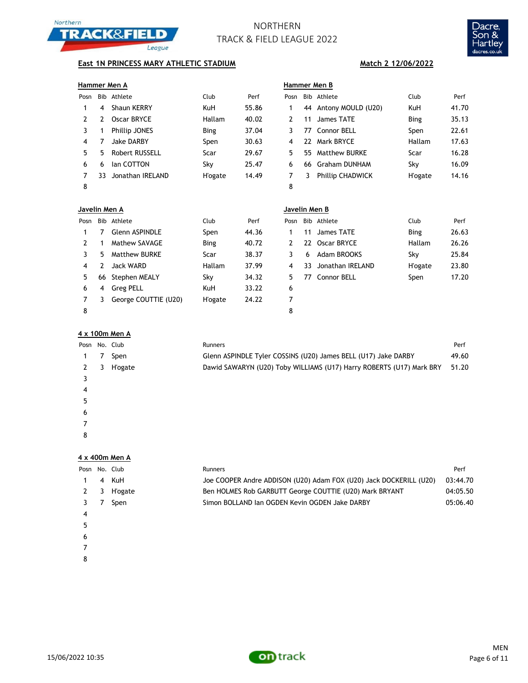



## **East 1N PRINCESS MARY ATHLETIC STADIUM Match 2 12/06/2022**

| Hammer Men A |  |
|--------------|--|
|              |  |

|      |     | Hammer Men A         |             |       |      | Hammer Men B |                         |                 |       |  |
|------|-----|----------------------|-------------|-------|------|--------------|-------------------------|-----------------|-------|--|
| Posn | Bib | Athlete              | Club        | Perf  | Posn |              | Bib Athlete             | Club            | Perf  |  |
|      | 4   | <b>Shaun KERRY</b>   | KuH         | 55.86 |      |              | 44 Antony MOULD (U20)   | KuH             | 41.70 |  |
| 2    |     | Oscar BRYCE          | Hallam      | 40.02 |      | 11           | James TATE              | <b>Bing</b>     | 35.13 |  |
|      |     | <b>Phillip JONES</b> | <b>Bing</b> | 37.04 | 3.   | 77.          | Connor BELL             | Spen            | 22.61 |  |
| 4    |     | Jake DARBY           | Spen        | 30.63 | 4    | 22.          | Mark BRYCE              | Hallam          | 17.63 |  |
| 5.   | 5.  | Robert RUSSELL       | Scar        | 29.67 | 5.   | 55.          | <b>Matthew BURKE</b>    | Scar            | 16.28 |  |
| 6    | 6   | lan COTTON           | Skv         | 25.47 | 6    | 66           | <b>Graham DUNHAM</b>    | Sky             | 16.09 |  |
|      | 33. | Jonathan IRELAND     | H'ogate     | 14.49 |      | 3.           | <b>Phillip CHADWICK</b> | <b>H</b> 'ogate | 14.16 |  |
| 8    |     |                      |             |       | 8    |              |                         |                 |       |  |

| Hammer Men B |   |                       |                |       |  |  |  |
|--------------|---|-----------------------|----------------|-------|--|--|--|
| Posn         |   | Bib Athlete           | Club           | Perf  |  |  |  |
| 1            |   | 44 Antony MOULD (U20) | <b>KuH</b>     | 41.70 |  |  |  |
| 2            |   | 11 James TATE         | Bing           | 35.13 |  |  |  |
| 3            |   | 77 Connor BELL        | Spen           | 22.61 |  |  |  |
| 4            |   | 22 Mark BRYCE         | Hallam         | 17.63 |  |  |  |
| 5            |   | 55 Matthew BURKE      | Scar           | 16.28 |  |  |  |
| 6            |   | 66 Graham DUNHAM      | Sky            | 16.09 |  |  |  |
| 7            | 3 | Phillip CHADWICK      | <b>H'ogate</b> | 14.16 |  |  |  |
| Ջ            |   |                       |                |       |  |  |  |

| Javelin Men A |     |                       |                |       | Javelin Men B |    |                  |                 |       |  |
|---------------|-----|-----------------------|----------------|-------|---------------|----|------------------|-----------------|-------|--|
| Posn          | Bib | Athlete               | Club           | Perf  | Posn          |    | Bib Athlete      | Club            | Perf  |  |
|               |     | <b>Glenn ASPINDLE</b> | Spen           | 44.36 |               | 11 | James TATE       | <b>Bing</b>     | 26.63 |  |
| 2             |     | Mathew SAVAGE         | <b>Bing</b>    | 40.72 | 2             |    | 22 Oscar BRYCE   | Hallam          | 26.26 |  |
| 3.            |     | Matthew BURKE         | Scar           | 38.37 | 3.            | 6  | Adam BROOKS      | Sky             | 25.84 |  |
| 4             |     | Jack WARD             | Hallam         | 37.99 | 4             | 33 | Jonathan IRELAND | <b>H</b> 'ogate | 23.80 |  |
| 5.            |     | 66 Stephen MEALY      | Sky            | 34.32 | 5.            | 77 | Connor BELL      | Spen            | 17.20 |  |
| 6             | 4   | <b>Greg PELL</b>      | <b>KuH</b>     | 33.22 | 6             |    |                  |                 |       |  |
|               |     | George COUTTIE (U20)  | <b>H'ogate</b> | 24.22 |               |    |                  |                 |       |  |
| 8             |     |                       |                |       | 8             |    |                  |                 |       |  |

| osn'          |   | Bib Athlete         | Club           | Perf  |
|---------------|---|---------------------|----------------|-------|
| 1             |   | 11 James TATE       | Bing           | 26.63 |
| $\mathcal{L}$ |   | 22 Oscar BRYCE      | Hallam         | 26.26 |
| 3             | 6 | Adam BROOKS         | Sky            | 25.84 |
| 4             |   | 33 Jonathan IRELAND | <b>H'ogate</b> | 23.80 |
| -5            |   | 77 Connor BELL      | Spen           | 17.20 |
| 6             |   |                     |                |       |
| 7             |   |                     |                |       |

### **4 x 100m Men A**

| Posn |   | No. Club        | Runners                                                              | Perf  |
|------|---|-----------------|----------------------------------------------------------------------|-------|
| 1    |   | Spen            | Glenn ASPINDLE Tyler COSSINS (U20) James BELL (U17) Jake DARBY       | 49.60 |
| 2    | 3 | <b>H</b> 'ogate | Dawid SAWARYN (U20) Toby WILLIAMS (U17) Harry ROBERTS (U17) Mark BRY | 51.20 |
|      |   |                 |                                                                      |       |
| 4    |   |                 |                                                                      |       |
| 5    |   |                 |                                                                      |       |
| 6    |   |                 |                                                                      |       |
|      |   |                 |                                                                      |       |
| 8    |   |                 |                                                                      |       |
|      |   |                 |                                                                      |       |

### **4 x 400m Men A**

| Posn |   | No. Club       | Runners                                                            | Perf     |
|------|---|----------------|--------------------------------------------------------------------|----------|
|      | 4 | KuH            | Joe COOPER Andre ADDISON (U20) Adam FOX (U20) Jack DOCKERILL (U20) | 03:44.70 |
| 2    | 3 | <b>H'ogate</b> | Ben HOLMES Rob GARBUTT George COUTTIE (U20) Mark BRYANT            | 04:05.50 |
|      |   | Spen           | Simon BOLLAND Ian OGDEN Kevin OGDEN Jake DARBY                     | 05:06.40 |
| 4    |   |                |                                                                    |          |
|      |   |                |                                                                    |          |
| 6    |   |                |                                                                    |          |
|      |   |                |                                                                    |          |

- 
- 

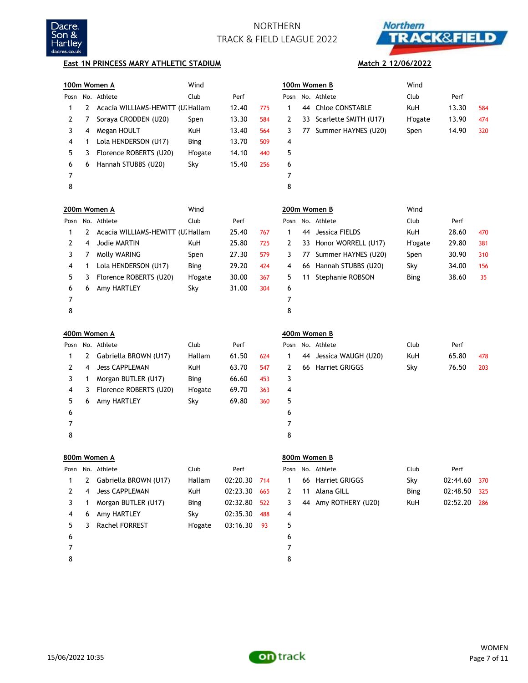



**Match 2 12/06/2022**

### **East 1N PRINCESS MARY ATHLETIC STADIUM**

|   |   | 100m Women A                      | Wind            |          |     |      |    | 100m Women B           | Wind            |          |     |
|---|---|-----------------------------------|-----------------|----------|-----|------|----|------------------------|-----------------|----------|-----|
|   |   | Posn No. Athlete                  | Club            | Perf     |     | Posn |    | No. Athlete            | Club            | Perf     |     |
| 1 | 2 | Acacia WILLIAMS-HEWITT (U. Hallam |                 | 12.40    | 775 | 1    | 44 | <b>Chloe CONSTABLE</b> | KuH             | 13.30    | 584 |
| 2 | 7 | Soraya CRODDEN (U20)              | Spen            | 13.30    | 584 | 2    | 33 | Scarlette SMITH (U17)  | <b>H</b> 'ogate | 13.90    | 474 |
| 3 | 4 | Megan HOULT                       | KuH             | 13.40    | 564 | 3    |    | 77 Summer HAYNES (U20) | Spen            | 14.90    | 320 |
| 4 | 1 | Lola HENDERSON (U17)              | <b>Bing</b>     | 13.70    | 509 | 4    |    |                        |                 |          |     |
| 5 | 3 | Florence ROBERTS (U20)            | <b>H</b> 'ogate | 14.10    | 440 | 5    |    |                        |                 |          |     |
| 6 | 6 | Hannah STUBBS (U20)               | Sky             | 15.40    | 256 | 6    |    |                        |                 |          |     |
| 7 |   |                                   |                 |          |     | 7    |    |                        |                 |          |     |
| 8 |   |                                   |                 |          |     | 8    |    |                        |                 |          |     |
|   |   | 200m Women A                      | Wind            |          |     |      |    | 200m Women B           | Wind            |          |     |
|   |   | Posn No. Athlete                  | Club            | Perf     |     | Posn |    | No. Athlete            | Club            | Perf     |     |
| 1 | 2 | Acacia WILLIAMS-HEWITT (U. Hallam |                 | 25.40    | 767 | 1    | 44 | Jessica FIELDS         | KuH             | 28.60    | 470 |
| 2 | 4 | Jodie MARTIN                      | KuH             | 25.80    | 725 | 2    | 33 | Honor WORRELL (U17)    | <b>H</b> 'ogate | 29.80    | 381 |
| 3 | 7 | Molly WARING                      | Spen            | 27.30    | 579 | 3    | 77 | Summer HAYNES (U20)    | Spen            | 30.90    | 310 |
| 4 | 1 | Lola HENDERSON (U17)              | <b>Bing</b>     | 29.20    | 424 | 4    | 66 | Hannah STUBBS (U20)    | Sky             | 34.00    | 156 |
| 5 | 3 | Florence ROBERTS (U20)            | <b>H</b> 'ogate | 30.00    | 367 | 5    | 11 | Stephanie ROBSON       | <b>Bing</b>     | 38.60    | 35  |
| 6 | 6 | Amy HARTLEY                       | Sky             | 31.00    | 304 | 6    |    |                        |                 |          |     |
| 7 |   |                                   |                 |          |     | 7    |    |                        |                 |          |     |
| 8 |   |                                   |                 |          |     | 8    |    |                        |                 |          |     |
|   |   | 400m Women A                      |                 |          |     |      |    | 400m Women B           |                 |          |     |
|   |   | Posn No. Athlete                  | Club            | Perf     |     | Posn |    | No. Athlete            | Club            | Perf     |     |
| 1 | 2 | Gabriella BROWN (U17)             | Hallam          | 61.50    | 624 | 1    | 44 | Jessica WAUGH (U20)    | KuH             | 65.80    | 478 |
| 2 | 4 | <b>Jess CAPPLEMAN</b>             | KuH             | 63.70    | 547 | 2    |    | 66 Harriet GRIGGS      | Sky             | 76.50    | 203 |
| 3 | 1 | Morgan BUTLER (U17)               | <b>Bing</b>     | 66.60    | 453 | 3    |    |                        |                 |          |     |
| 4 | 3 | Florence ROBERTS (U20)            | <b>H</b> 'ogate | 69.70    | 363 | 4    |    |                        |                 |          |     |
| 5 | 6 | Amy HARTLEY                       | Sky             | 69.80    | 360 | 5    |    |                        |                 |          |     |
| 6 |   |                                   |                 |          |     | 6    |    |                        |                 |          |     |
| 7 |   |                                   |                 |          |     | 7    |    |                        |                 |          |     |
| 8 |   |                                   |                 |          |     | 8    |    |                        |                 |          |     |
|   |   | 800m Women A                      |                 |          |     |      |    | 800m Women B           |                 |          |     |
|   |   | Posn No. Athlete                  | Club            | Perf     |     | Posn |    | No. Athlete            | Club            | Perf     |     |
| 1 | 2 | Gabriella BROWN (U17)             | Hallam          | 02:20.30 | 714 | 1    | 66 | Harriet GRIGGS         | Sky             | 02:44.60 | 370 |
| 2 | 4 | <b>Jess CAPPLEMAN</b>             | KuH             | 02:23.30 | 665 | 2    | 11 | Alana GILL             | <b>Bing</b>     | 02:48.50 | 325 |
| 3 | 1 | Morgan BUTLER (U17)               | <b>Bing</b>     | 02:32.80 | 522 | 3    |    | 44 Amy ROTHERY (U20)   | KuH             | 02:52.20 | 286 |
| 4 | 6 | Amy HARTLEY                       | Sky             | 02:35.30 | 488 | 4    |    |                        |                 |          |     |
| 5 | 3 | Rachel FORREST                    | <b>H'ogate</b>  | 03:16.30 | 93  | 5    |    |                        |                 |          |     |
| 6 |   |                                   |                 |          |     | 6    |    |                        |                 |          |     |
| 7 |   |                                   |                 |          |     | 7    |    |                        |                 |          |     |
| 8 |   |                                   |                 |          |     | 8    |    |                        |                 |          |     |

15/06/2022 10:35

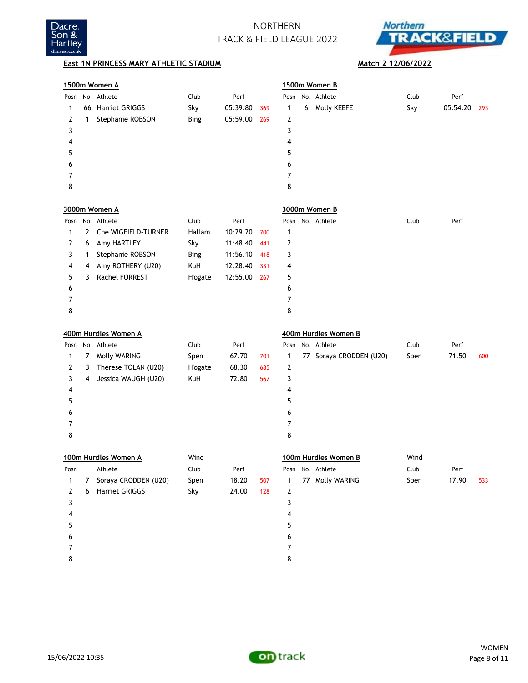



## **East 1N PRINCESS MARY ATHLETIC STADIUM Match 2 12/06/2022**

|      |    | 1500m Women A        |                 |          |     |   |   | 1500m Women B           |      |          |     |
|------|----|----------------------|-----------------|----------|-----|---|---|-------------------------|------|----------|-----|
| Posn |    | No. Athlete          | Club            | Perf     |     |   |   | Posn No. Athlete        | Club | Perf     |     |
| 1    | 66 | Harriet GRIGGS       | Sky             | 05:39.80 | 369 | 1 | 6 | Molly KEEFE             | Sky  | 05:54.20 | 293 |
| 2    | 1  | Stephanie ROBSON     | <b>Bing</b>     | 05:59.00 | 269 | 2 |   |                         |      |          |     |
| 3    |    |                      |                 |          |     | 3 |   |                         |      |          |     |
| 4    |    |                      |                 |          |     | 4 |   |                         |      |          |     |
| 5    |    |                      |                 |          |     | 5 |   |                         |      |          |     |
| 6    |    |                      |                 |          |     | 6 |   |                         |      |          |     |
| 7    |    |                      |                 |          |     | 7 |   |                         |      |          |     |
| 8    |    |                      |                 |          |     | 8 |   |                         |      |          |     |
|      |    | 3000m Women A        |                 |          |     |   |   | 3000m Women B           |      |          |     |
|      |    | Posn No. Athlete     | Club            | Perf     |     |   |   | Posn No. Athlete        | Club | Perf     |     |
| 1    | 2  | Che WIGFIELD-TURNER  | Hallam          | 10:29.20 | 700 | 1 |   |                         |      |          |     |
| 2    | 6  | Amy HARTLEY          | Sky             | 11:48.40 | 441 | 2 |   |                         |      |          |     |
| 3    | 1  | Stephanie ROBSON     | <b>Bing</b>     | 11:56.10 | 418 | 3 |   |                         |      |          |     |
| 4    | 4  | Amy ROTHERY (U20)    | KuH             | 12:28.40 | 331 | 4 |   |                         |      |          |     |
| 5    | 3  | Rachel FORREST       | <b>H</b> 'ogate | 12:55.00 | 267 | 5 |   |                         |      |          |     |
| 6    |    |                      |                 |          |     | 6 |   |                         |      |          |     |
| 7    |    |                      |                 |          |     | 7 |   |                         |      |          |     |
| 8    |    |                      |                 |          |     | 8 |   |                         |      |          |     |
|      |    | 400m Hurdles Women A |                 |          |     |   |   | 400m Hurdles Women B    |      |          |     |
|      |    | Posn No. Athlete     | Club            | Perf     |     |   |   | Posn No. Athlete        | Club | Perf     |     |
| 1    | 7  | Molly WARING         | Spen            | 67.70    | 701 | 1 |   | 77 Soraya CRODDEN (U20) | Spen | 71.50    | 600 |
| 2    | 3  | Therese TOLAN (U20)  | <b>H</b> 'ogate | 68.30    | 685 | 2 |   |                         |      |          |     |
| 3    | 4  | Jessica WAUGH (U20)  | KuH             | 72.80    | 567 | 3 |   |                         |      |          |     |
| 4    |    |                      |                 |          |     | 4 |   |                         |      |          |     |
| 5    |    |                      |                 |          |     | 5 |   |                         |      |          |     |
| 6    |    |                      |                 |          |     | 6 |   |                         |      |          |     |
| 7    |    |                      |                 |          |     | 7 |   |                         |      |          |     |
| 8    |    |                      |                 |          |     | 8 |   |                         |      |          |     |
|      |    | 100m Hurdles Women A | Wind            |          |     |   |   | 100m Hurdles Women B    | Wind |          |     |
| Posn |    | Athlete              | Club            | Perf     |     |   |   | Posn No. Athlete        | Club | Perf     |     |
| 1    | 7  | Soraya CRODDEN (U20) | Spen            | 18.20    | 507 | 1 |   | 77 Molly WARING         | Spen | 17.90    | 533 |
| 2    | 6  | Harriet GRIGGS       | Sky             | 24.00    | 128 | 2 |   |                         |      |          |     |
| 3    |    |                      |                 |          |     | 3 |   |                         |      |          |     |
| 4    |    |                      |                 |          |     | 4 |   |                         |      |          |     |
| 5    |    |                      |                 |          |     | 5 |   |                         |      |          |     |
| 6    |    |                      |                 |          |     | 6 |   |                         |      |          |     |
| 7    |    |                      |                 |          |     | 7 |   |                         |      |          |     |
| 8    |    |                      |                 |          |     | 8 |   |                         |      |          |     |

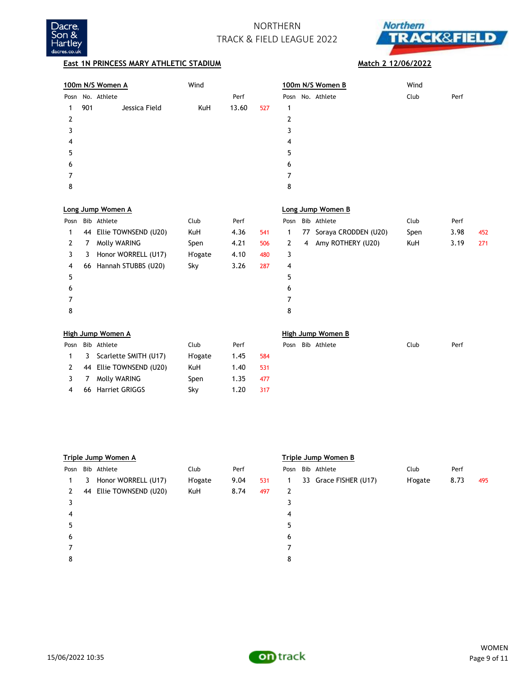



## **East 1N PRINCESS MARY ATHLETIC STADIUM Match 2 12/06/2022**

3 7 Molly WARING Spen 1.35 477 4 66 Harriet GRIGGS Sky 1.20 317

|      |     | 100m N/S Women A         | Wind            |       |     | 100m N/S Women B                         | Wind |             |  |
|------|-----|--------------------------|-----------------|-------|-----|------------------------------------------|------|-------------|--|
| Posn |     | No. Athlete              |                 | Perf  |     | No. Athlete<br>Posn                      | Club | Perf        |  |
| 1    | 901 | Jessica Field            | KuH             | 13.60 | 527 | 1                                        |      |             |  |
| 2    |     |                          |                 |       |     | 2                                        |      |             |  |
| 3    |     |                          |                 |       |     | 3                                        |      |             |  |
| 4    |     |                          |                 |       |     | 4                                        |      |             |  |
| 5    |     |                          |                 |       |     | 5                                        |      |             |  |
| 6    |     |                          |                 |       |     | 6                                        |      |             |  |
| 7    |     |                          |                 |       |     | 7                                        |      |             |  |
| 8    |     |                          |                 |       |     | 8                                        |      |             |  |
|      |     | Long Jump Women A        |                 |       |     | Long Jump Women B                        |      |             |  |
|      |     | Bib Athlete              | Club            |       |     | Bib Athlete                              | Club |             |  |
| Posn |     |                          |                 | Perf  |     | Posn                                     |      | Perf        |  |
| 1    |     | 44 Ellie TOWNSEND (U20)  | KuH             | 4.36  | 541 | 77 Soraya CRODDEN (U20)<br>1             | Spen | 3.98<br>452 |  |
| 2    | 7   | Molly WARING             | Spen            | 4.21  | 506 | Amy ROTHERY (U20)<br>2<br>$\overline{4}$ | KuH  | 3.19<br>271 |  |
| 3    | 3   | Honor WORRELL (U17)      | <b>H'ogate</b>  | 4.10  | 480 | 3                                        |      |             |  |
| 4    | 66  | Hannah STUBBS (U20)      | Sky             | 3.26  | 287 | 4                                        |      |             |  |
| 5    |     |                          |                 |       |     | 5                                        |      |             |  |
| 6    |     |                          |                 |       |     | 6                                        |      |             |  |
| 7    |     |                          |                 |       |     | 7                                        |      |             |  |
| 8    |     |                          |                 |       |     | 8                                        |      |             |  |
|      |     | <b>High Jump Women A</b> |                 |       |     | <b>High Jump Women B</b>                 |      |             |  |
| Posn |     | Bib Athlete              | Club            | Perf  |     | Posn Bib Athlete                         | Club | Perf        |  |
| 1    | 3   | Scarlette SMITH (U17)    | <b>H</b> 'ogate | 1.45  | 584 |                                          |      |             |  |
| 2    | 44  | Ellie TOWNSEND (U20)     | KuH             | 1.40  | 531 |                                          |      |             |  |

|      | Triple Jump Women A |                      |                 |      |     |      |  | Triple Jump Women B   |                 |      |     |  |  |  |  |
|------|---------------------|----------------------|-----------------|------|-----|------|--|-----------------------|-----------------|------|-----|--|--|--|--|
| Posn |                     | Bib Athlete          | Club            | Perf |     | Posn |  | Bib Athlete           | Club            | Perf |     |  |  |  |  |
| 1.   | 3                   | Honor WORRELL (U17)  | <b>H</b> 'ogate | 9.04 | 531 | 1    |  | 33 Grace FISHER (U17) | <b>H</b> 'ogate | 8.73 | 495 |  |  |  |  |
| 2    | 44                  | Ellie TOWNSEND (U20) | KuH             | 8.74 | 497 | 2    |  |                       |                 |      |     |  |  |  |  |
|      |                     |                      |                 |      |     |      |  |                       |                 |      |     |  |  |  |  |
| 4    |                     |                      |                 |      |     | 4    |  |                       |                 |      |     |  |  |  |  |
| 5    |                     |                      |                 |      |     | 5    |  |                       |                 |      |     |  |  |  |  |
| 6    |                     |                      |                 |      |     | 6    |  |                       |                 |      |     |  |  |  |  |
|      |                     |                      |                 |      |     |      |  |                       |                 |      |     |  |  |  |  |
| 8    |                     |                      |                 |      |     | 8    |  |                       |                 |      |     |  |  |  |  |
|      |                     |                      |                 |      |     |      |  |                       |                 |      |     |  |  |  |  |

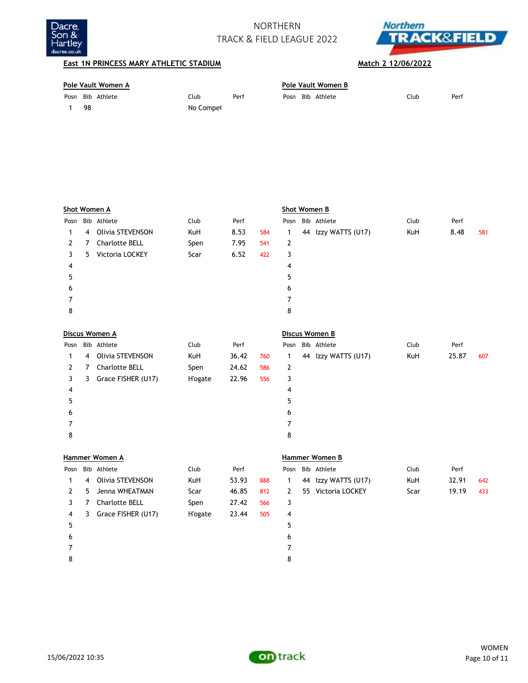



## **East 1N PRINCESS MARY ATHLETIC STADIUM Match 2 12/06/2022**

 7 8

| Pole Vault Women A |     |                  |           |      |  | Pole Vault Women B |                  |      |      |  |  |  |
|--------------------|-----|------------------|-----------|------|--|--------------------|------------------|------|------|--|--|--|
|                    |     | Posn Bib Athlete | Club      | Perf |  |                    | Posn Bib Athlete | Club | Perf |  |  |  |
|                    | -98 |                  | No Compet |      |  |                    |                  |      |      |  |  |  |

|              |    | <b>Shot Women A</b> |                 |       | <b>Shot Women B</b> |                |  |                     |      |       |     |  |
|--------------|----|---------------------|-----------------|-------|---------------------|----------------|--|---------------------|------|-------|-----|--|
| Posn         |    | Bib Athlete         | Club            | Perf  |                     | Posn           |  | Bib Athlete         | Club | Perf  |     |  |
| 1            | 4  | Olivia STEVENSON    | KuH             | 8.53  | 584                 | 1              |  | 44 Izzy WATTS (U17) | KuH  | 8.48  | 581 |  |
| 2            | 7  | Charlotte BELL      | Spen            | 7.95  | 541                 | 2              |  |                     |      |       |     |  |
| 3            | 5  | Victoria LOCKEY     | Scar            | 6.52  | 422                 | 3              |  |                     |      |       |     |  |
| 4            |    |                     |                 |       |                     | 4              |  |                     |      |       |     |  |
| 5            |    |                     |                 |       |                     | 5              |  |                     |      |       |     |  |
| 6            |    |                     |                 |       |                     | 6              |  |                     |      |       |     |  |
| 7            |    |                     |                 |       |                     | 7              |  |                     |      |       |     |  |
| 8            |    |                     |                 |       |                     | 8              |  |                     |      |       |     |  |
|              |    |                     |                 |       |                     |                |  |                     |      |       |     |  |
|              |    | Discus Women A      |                 |       |                     | Discus Women B |  |                     |      |       |     |  |
| Posn         |    | Bib Athlete         | Club            | Perf  |                     |                |  | Posn Bib Athlete    | Club | Perf  |     |  |
| 1            | 4  | Olivia STEVENSON    | KuH             | 36.42 | 760                 | 1              |  | 44 Izzy WATTS (U17) | KuH  | 25.87 | 607 |  |
| $\mathbf{2}$ | 7  | Charlotte BELL      | Spen            | 24.62 | 586                 | 2              |  |                     |      |       |     |  |
| 3            | 3. | Grace FISHER (U17)  | <b>H</b> 'ogate | 22.96 | 556                 | 3              |  |                     |      |       |     |  |
| 4            |    |                     |                 |       |                     | 4              |  |                     |      |       |     |  |
| 5            |    |                     |                 |       |                     | 5              |  |                     |      |       |     |  |
| 6            |    |                     |                 |       |                     | 6              |  |                     |      |       |     |  |
|              |    |                     |                 |       |                     |                |  |                     |      |       |     |  |

|      | Hammer Women A |                       |                 |       |     |      |    | Hammer Women B     |      |       |     |  |  |  |
|------|----------------|-----------------------|-----------------|-------|-----|------|----|--------------------|------|-------|-----|--|--|--|
| Posn |                | Bib Athlete           | Club            | Perf  |     | Posn |    | Bib Athlete        | Club | Perf  |     |  |  |  |
|      | 4              | Olivia STEVENSON      | KuH             | 53.93 | 888 |      | 44 | Izzy WATTS (U17)   | KuH  | 32.91 | 642 |  |  |  |
| 2    | 5.             | Jenna WHEATMAN        | Scar            | 46.85 | 812 | 2    |    | 55 Victoria LOCKEY | Scar | 19.19 | 433 |  |  |  |
|      |                | <b>Charlotte BELL</b> | Spen            | 27.42 | 566 | 3    |    |                    |      |       |     |  |  |  |
| 4    | 3              | Grace FISHER (U17)    | <b>H</b> 'ogate | 23.44 | 505 | 4    |    |                    |      |       |     |  |  |  |
| 5    |                |                       |                 |       |     | 5    |    |                    |      |       |     |  |  |  |
| 6    |                |                       |                 |       |     | 6    |    |                    |      |       |     |  |  |  |
|      |                |                       |                 |       |     |      |    |                    |      |       |     |  |  |  |
| 8    |                |                       |                 |       |     | 8    |    |                    |      |       |     |  |  |  |